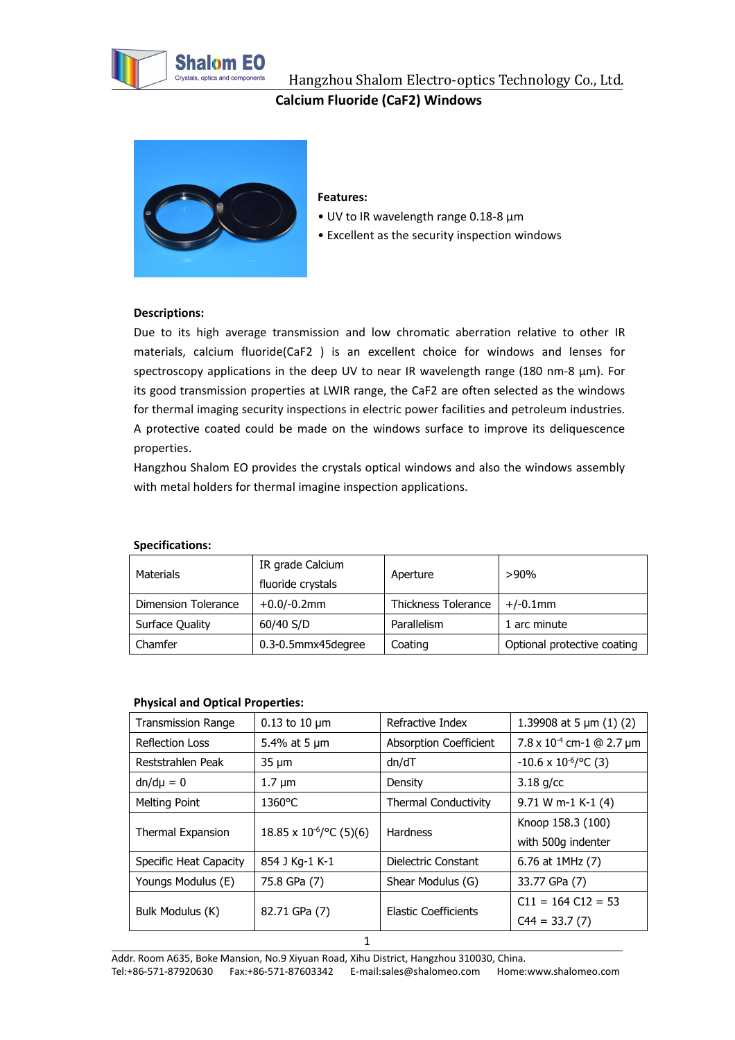

Hangzhou Shalom Electro-optics Technology Co., Ltd. **Calcium Fluoride (CaF2) Windows**



#### **Features:**

- UV to IR wavelength range 0.18-8 μm
- Excellent as the security inspection windows

### **Descriptions:**

Due to its high average transmission and low chromatic aberration relative to other IR materials, calcium fluoride(CaF2 ) is an excellent choice for windows and lenses for spectroscopy applications in the deep UV to near IR wavelength range (180 nm-8  $\mu$ m). For its good transmission properties at LWIR range, the CaF2 are often selected as the windows for thermal imaging security inspections in electric power facilities and petroleum industries. A protective coated could be made on the windows surface to improve its deliquescence properties.

Hangzhou Shalom EO provides the crystals optical windows and also the windows assembly with metal holders for thermal imagine inspection applications.

| Materials           | IR grade Calcium<br>fluoride crystals | Aperture            | >90%                        |
|---------------------|---------------------------------------|---------------------|-----------------------------|
| Dimension Tolerance | $+0.0$ /-0.2mm                        | Thickness Tolerance | $+/-0.1$ mm                 |
| Surface Quality     | 60/40 S/D                             | Parallelism         | . arc minute                |
| Chamfer             | 0.3-0.5mmx45degree                    | Coating             | Optional protective coating |

# **Specifications:**

### **Physical and Optical Properties:**

| <b>Transmission Range</b> | $0.13$ to 10 $\mu$ m          | Refractive Index            | 1.39908 at 5 $\mu$ m (1) (2)       |
|---------------------------|-------------------------------|-----------------------------|------------------------------------|
| Reflection Loss           | 5.4% at 5 µm                  | Absorption Coefficient      | $7.8 \times 10^{-4}$ cm-1 @ 2.7 µm |
| Reststrahlen Peak         | $35 \mu m$                    | dn/dT                       | $-10.6 \times 10^{-6}$ / °C (3)    |
| $dn/d\mu = 0$             | $1.7 \mu m$                   | Density                     | $3.18$ g/cc                        |
| Melting Point             | 1360°C                        | <b>Thermal Conductivity</b> | 9.71 W m-1 K-1 (4)                 |
| Thermal Expansion         | $18.85 \times 10^{-6}$ (3)(6) | <b>Hardness</b>             | Knoop 158.3 (100)                  |
|                           |                               |                             | with 500g indenter                 |
| Specific Heat Capacity    | 854 J Kg-1 K-1                | Dielectric Constant         | 6.76 at 1MHz (7)                   |
| Youngs Modulus (E)        | 75.8 GPa (7)                  | Shear Modulus (G)           | 33.77 GPa (7)                      |
| Bulk Modulus (K)          | 82.71 GPa (7)                 | Elastic Coefficients        | $C11 = 164 C12 = 53$               |
|                           |                               |                             | $C44 = 33.7(7)$                    |
|                           |                               |                             |                                    |